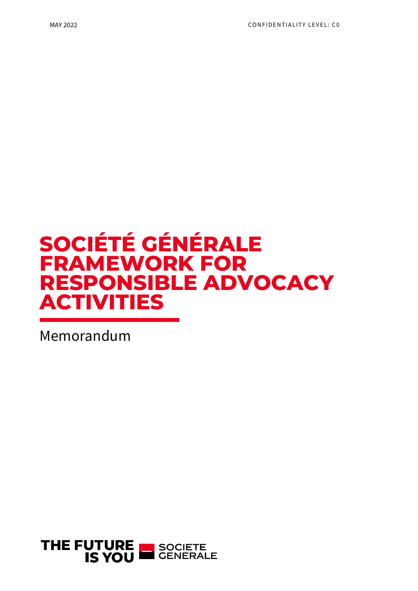# SOCIÉTÉ GÉNÉRALE FRAMEWORK FOR RESPONSIBLE ADVOCACY ACTIVITIES

Memorandum

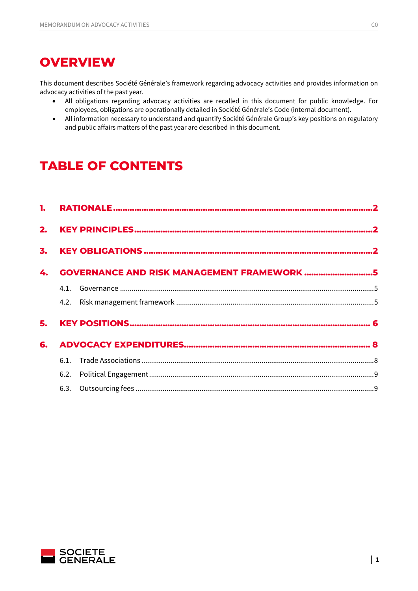## **OVERVIEW**

This document describes Société Générale's framework regarding advocacy activities and provides information on advocacy activities of the past year.

- All obligations regarding advocacy activities are recalled in this document for public knowledge. For employees, obligations are operationally detailed in Société Générale's Code (internal document).
- All information necessary to understand and quantify Société Générale Group's key positions on regulatory and public affairs matters of the past year are described in this document.

# TABLE OF CONTENTS

| 4. | <b>GOVERNANCE AND RISK MANAGEMENT FRAMEWORK 5</b> |  |  |  |  |
|----|---------------------------------------------------|--|--|--|--|
|    |                                                   |  |  |  |  |
|    |                                                   |  |  |  |  |
|    |                                                   |  |  |  |  |
| 6. |                                                   |  |  |  |  |
|    |                                                   |  |  |  |  |
|    |                                                   |  |  |  |  |
|    |                                                   |  |  |  |  |

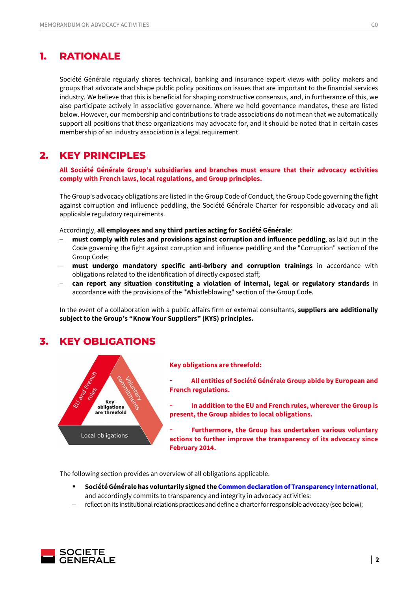### 1. RATIONALE

Société Générale regularly shares technical, banking and insurance expert views with policy makers and groups that advocate and shape public policy positions on issues that are important to the financial services industry. We believe that this is beneficial for shaping constructive consensus, and, in furtherance of this, we also participate actively in associative governance. Where we hold governance mandates, these are listed below. However, our membership and contributions to trade associations do not mean that we automatically support all positions that these organizations may advocate for, and it should be noted that in certain cases membership of an industry association is a legal requirement.

### 2. KEY PRINCIPLES

All Société Générale Group's subsidiaries and branches must ensure that their advocacy activities comply with French laws, local regulations, and Group principles.

The Group's advocacy obligations are listed in the Group Code of Conduct, the Group Code governing the fight against corruption and influence peddling, the Société Générale Charter for responsible advocacy and all applicable regulatory requirements.

Accordingly, all employees and any third parties acting for Société Générale:

- must comply with rules and provisions against corruption and influence peddling, as laid out in the Code governing the fight against corruption and influence peddling and the "Corruption" section of the Group Code;
- must undergo mandatory specific anti-bribery and corruption trainings in accordance with obligations related to the identification of directly exposed staff;
- ─ can report any situation constituting a violation of internal, legal or regulatory standards in accordance with the provisions of the "Whistleblowing" section of the Group Code.

In the event of a collaboration with a public affairs firm or external consultants, suppliers are additionally subject to the Group's "Know Your Suppliers" (KYS) principles.

### 3. KEY OBLIGATIONS



### Key obligations are threefold:

All entities of Société Générale Group abide by European and French regulations.

In addition to the EU and French rules, wherever the Group is present, the Group abides to local obligations.

Furthermore, the Group has undertaken various voluntary actions to further improve the transparency of its advocacy since February 2014.

The following section provides an overview of all obligations applicable.

- Société Générale has voluntarily signed the Common declaration of Transparency International, and accordingly commits to transparency and integrity in advocacy activities:
- reflect on its institutional relations practices and define a charter for responsible advocacy (see below);

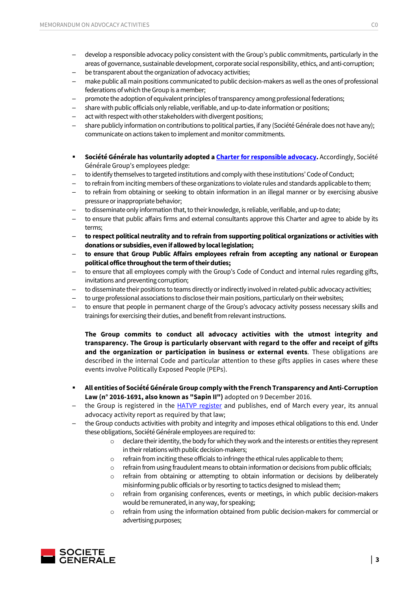- ─ develop a responsible advocacy policy consistent with the Group's public commitments, particularly in the areas of governance, sustainable development, corporate social responsibility, ethics, and anti-corruption;
- be transparent about the organization of advocacy activities;
- make public all main positions communicated to public decision-makers as well as the ones of professional federations of which the Group is a member;
- promote the adoption of equivalent principles of transparency among professional federations;
- ─ share with public officials only reliable, verifiable, and up-to-date information or positions;
- act with respect with other stakeholders with divergent positions;
- share publicly information on contributions to political parties, if any (Société Générale does not have any); communicate on actions taken to implement and monitor commitments.
- **Société Générale has voluntarily adopted a Charter for responsible advocacy.** Accordingly, Société Générale Group's employees pledge:
- to identify themselves to targeted institutions and comply with these institutions' Code of Conduct;
- to refrain from inciting members of these organizations to violate rules and standards applicable to them;
- to refrain from obtaining or seeking to obtain information in an illegal manner or by exercising abusive pressure or inappropriate behavior;
- to disseminate only information that, to their knowledge, is reliable, verifiable, and up-to date;
- to ensure that public affairs firms and external consultants approve this Charter and agree to abide by its terms;
- ─ to respect political neutrality and to refrain from supporting political organizations or activities with donations or subsidies, even if allowed by local legislation;
- to ensure that Group Public Affairs employees refrain from accepting any national or European political office throughout the term of their duties;
- to ensure that all employees comply with the Group's Code of Conduct and internal rules regarding gifts, invitations and preventing corruption;
- to disseminate their positions to teams directly or indirectly involved in related-public advocacy activities;
- to urge professional associations to disclose their main positions, particularly on their websites;
- to ensure that people in permanent charge of the Group's advocacy activity possess necessary skills and trainings for exercising their duties, and benefit from relevant instructions.

The Group commits to conduct all advocacy activities with the utmost integrity and transparency. The Group is particularly observant with regard to the offer and receipt of gifts and the organization or participation in business or external events. These obligations are described in the internal Code and particular attention to these gifts applies in cases where these events involve Politically Exposed People (PEPs).

- All entities of Société Générale Group comply with the French Transparency and Anti-Corruption Law (n° 2016-1691, also known as "Sapin II") adopted on 9 December 2016.
- the Group is registered in the HATVP register and publishes, end of March every year, its annual advocacy activity report as required by that law;
- ─ the Group conducts activities with probity and integrity and imposes ethical obligations to this end. Under these obligations, Société Générale employees are required to:
	- $\circ$  declare their identity, the body for which they work and the interests or entities they represent in their relations with public decision-makers;
	- $\circ$  refrain from inciting these officials to infringe the ethical rules applicable to them;
	- $\circ$  refrain from using fraudulent means to obtain information or decisions from public officials;
	- o refrain from obtaining or attempting to obtain information or decisions by deliberately misinforming public officials or by resorting to tactics designed to mislead them;
	- refrain from organising conferences, events or meetings, in which public decision-makers would be remunerated, in any way, for speaking;
	- o refrain from using the information obtained from public decision-makers for commercial or advertising purposes;

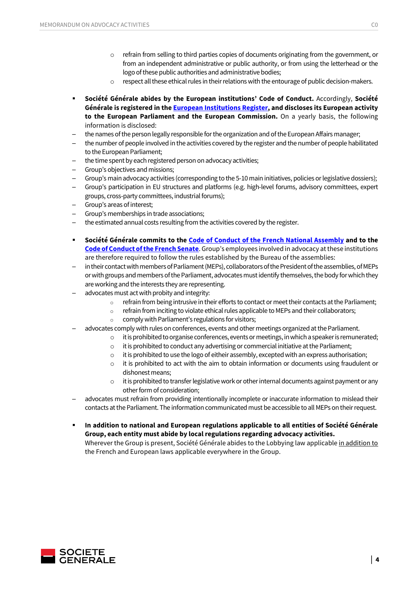- $\circ$  refrain from selling to third parties copies of documents originating from the government, or from an independent administrative or public authority, or from using the letterhead or the logo of these public authorities and administrative bodies;
- $\circ$  respect all these ethical rules in their relations with the entourage of public decision-makers.
- Société Générale abides by the European institutions' Code of Conduct. Accordingly, Société Générale is registered in the European Institutions Register, and discloses its European activity to the European Parliament and the European Commission. On a yearly basis, the following information is disclosed:
- the names of the person legally responsible for the organization and of the European Affairs manager;
- the number of people involved in the activities covered by the register and the number of people habilitated to the European Parliament;
- the time spent by each registered person on advocacy activities;
- Group's objectives and missions;
- Group's main advocacy activities (corresponding to the 5-10 main initiatives, policies or legislative dossiers);
- Group's participation in EU structures and platforms (e.g. high-level forums, advisory committees, expert groups, cross-party committees, industrial forums);
- Group's areas of interest;
- Group's memberships in trade associations;
- the estimated annual costs resulting from the activities covered by the register.
- **Société Générale commits to the Code of Conduct of the French National Assembly and to the** Code of Conduct of the French Senate. Group's employees involved in advocacy at these institutions are therefore required to follow the rules established by the Bureau of the assemblies:
- in their contact with members of Parliament (MEPs), collaborators of the President of the assemblies, of MEPs or with groups and members of the Parliament, advocates must identify themselves, the body for which they are working and the interests they are representing.
- advocates must act with probity and integrity:
	- o refrain from being intrusive in their efforts to contact or meet their contacts at the Parliament;
	- o refrain from inciting to violate ethical rules applicable to MEPs and their collaborators;
	- $\circ$  comply with Parliament's regulations for visitors:
- advocates comply with rules on conferences, events and other meetings organized at the Parliament.
	- $\circ$  it is prohibited to organise conferences, events or meetings, in which a speaker is remunerated;
	- $\circ$  it is prohibited to conduct any advertising or commercial initiative at the Parliament;
	- $\circ$  it is prohibited to use the logo of eitheir assembly, excepted with an express authorisation;
	- $\circ$  it is prohibited to act with the aim to obtain information or documents using fraudulent or dishonest means;
	- o it is prohibited to transfer legislative work or other internal documents against payment or any other form of consideration;
- advocates must refrain from providing intentionally incomplete or inaccurate information to mislead their contacts at the Parliament. The information communicated must be accessible to all MEPs on their request.
- In addition to national and European regulations applicable to all entities of Société Générale Group, each entity must abide by local regulations regarding advocacy activities. Wherever the Group is present, Société Générale abides to the Lobbying law applicable in addition to the French and European laws applicable everywhere in the Group.

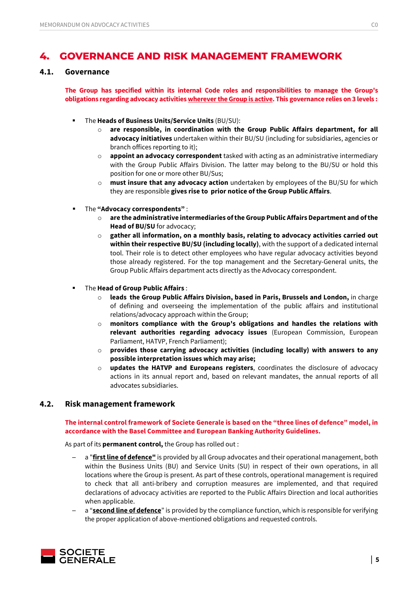### 4. GOVERNANCE AND RISK MANAGEMENT FRAMEWORK

### 4.1. Governance

The Group has specified within its internal Code roles and responsibilities to manage the Group's obligations regarding advocacy activities wherever the Group is active. This governance relies on 3 levels :

- The Heads of Business Units/Service Units (BU/SU):
	- o are responsible, in coordination with the Group Public Affairs department, for all advocacy initiatives undertaken within their BU/SU (including for subsidiaries, agencies or branch offices reporting to it);
	- $\circ$  appoint an advocacy correspondent tasked with acting as an administrative intermediary with the Group Public Affairs Division. The latter may belong to the BU/SU or hold this position for one or more other BU/Sus;
	- $\circ$  must insure that any advocacy action undertaken by employees of the BU/SU for which they are responsible gives rise to prior notice of the Group Public Affairs.
- The "Advocacy correspondents":
	- $\circ$  are the administrative intermediaries of the Group Public Affairs Department and of the Head of BU/SU for advocacy;
	- $\circ$  gather all information, on a monthly basis, relating to advocacy activities carried out within their respective BU/SU (including locally), with the support of a dedicated internal tool. Their role is to detect other employees who have regular advocacy activities beyond those already registered. For the top management and the Secretary-General units, the Group Public Affairs department acts directly as the Advocacy correspondent.
- The Head of Group Public Affairs :
	- $\circ$  leads the Group Public Affairs Division, based in Paris, Brussels and London, in charge of defining and overseeing the implementation of the public affairs and institutional relations/advocacy approach within the Group;
	- $\circ$  monitors compliance with the Group's obligations and handles the relations with relevant authorities regarding advocacy issues (European Commission, European Parliament, HATVP, French Parliament);
	- $\circ$  provides those carrying advocacy activities (including locally) with answers to any possible interpretation issues which may arise;
	- $\circ$  updates the HATVP and Europeans registers, coordinates the disclosure of advocacy actions in its annual report and, based on relevant mandates, the annual reports of all advocates subsidiaries.

### 4.2. Risk management framework

### The internal control framework of Societe Generale is based on the "three lines of defence" model, in accordance with the Basel Committee and European Banking Authority Guidelines.

As part of its **permanent control**, the Group has rolled out :

- a "first line of defence" is provided by all Group advocates and their operational management, both within the Business Units (BU) and Service Units (SU) in respect of their own operations, in all locations where the Group is present. As part of these controls, operational management is required to check that all anti-bribery and corruption measures are implemented, and that required declarations of advocacy activities are reported to the Public Affairs Direction and local authorities when applicable.
- a "second line of defence" is provided by the compliance function, which is responsible for verifying the proper application of above-mentioned obligations and requested controls.

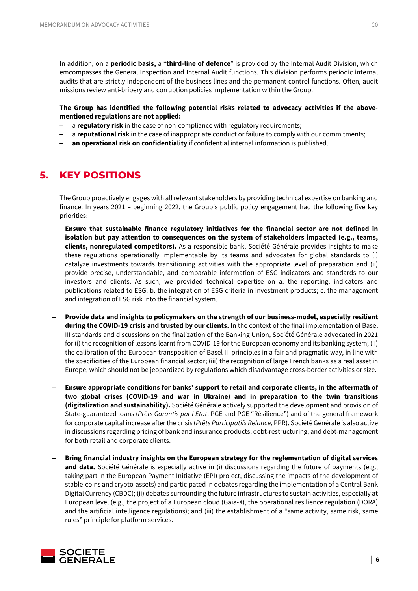In addition, on a **periodic basis,** a "third-line of defence" is provided by the Internal Audit Division, which emcompasses the General Inspection and Internal Audit functions. This division performs periodic internal audits that are strictly independent of the business lines and the permanent control functions. Often, audit missions review anti-bribery and corruption policies implementation within the Group.

### The Group has identified the following potential risks related to advocacy activities if the abovementioned regulations are not applied:

- a regulatory risk in the case of non-compliance with regulatory requirements;
- a reputational risk in the case of inappropriate conduct or failure to comply with our commitments;
- an operational risk on confidentiality if confidential internal information is published.

### 5. KEY POSITIONS

The Group proactively engages with all relevant stakeholders by providing technical expertise on banking and finance. In years 2021 – beginning 2022, the Group's public policy engagement had the following five key priorities:

- Ensure that sustainable finance regulatory initiatives for the financial sector are not defined in isolation but pay attention to consequences on the system of stakeholders impacted (e.g., teams, clients, nonregulated competitors). As a responsible bank, Société Générale provides insights to make these regulations operationally implementable by its teams and advocates for global standards to (i) catalyze investments towards transitioning activities with the appropriate level of preparation and (ii) provide precise, understandable, and comparable information of ESG indicators and standards to our investors and clients. As such, we provided technical expertise on a. the reporting, indicators and publications related to ESG; b. the integration of ESG criteria in investment products; c. the management and integration of ESG risk into the financial system.
- Provide data and insights to policymakers on the strength of our business-model, especially resilient during the COVID-19 crisis and trusted by our clients. In the context of the final implementation of Basel III standards and discussions on the finalization of the Banking Union, Société Générale advocated in 2021 for (i) the recognition of lessons learnt from COVID-19 for the European economy and its banking system; (ii) the calibration of the European transposition of Basel III principles in a fair and pragmatic way, in line with the specificities of the European financial sector; (iii) the recognition of large French banks as a real asset in Europe, which should not be jeopardized by regulations which disadvantage cross-border activities or size.
- ─ Ensure appropriate conditions for banks' support to retail and corporate clients, in the aftermath of two global crises (COVID-19 and war in Ukraine) and in preparation to the twin transitions (digitalization and sustainability). Société Générale actively supported the development and provision of State-guaranteed loans (Prêts Garantis par l'Etat, PGE and PGE "Résilience") and of the general framework for corporate capital increase after the crisis (Prêts Participatifs Relance, PPR). Société Générale is also active in discussions regarding pricing of bank and insurance products, debt-restructuring, and debt-management for both retail and corporate clients.
- Bring financial industry insights on the European strategy for the reglementation of digital services and data. Société Générale is especially active in (i) discussions regarding the future of payments (e.g., taking part in the European Payment Initiative (EPI) project, discussing the impacts of the development of stable-coins and crypto-assets) and participated in debates regarding the implementation of a Central Bank Digital Currency (CBDC); (ii) debates surrounding the future infrastructures to sustain activities, especially at European level (e.g., the project of a European cloud (Gaia-X), the operational resilience regulation (DORA) and the artificial intelligence regulations); and (iii) the establishment of a "same activity, same risk, same rules" principle for platform services.

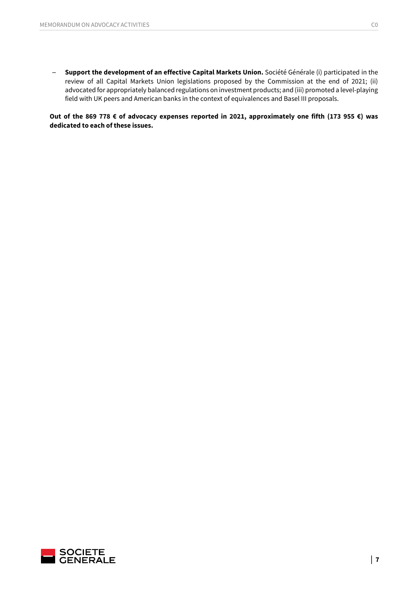- Support the development of an effective Capital Markets Union. Société Générale (i) participated in the review of all Capital Markets Union legislations proposed by the Commission at the end of 2021; (ii) advocated for appropriately balanced regulations on investment products; and (iii) promoted a level-playing field with UK peers and American banks in the context of equivalences and Basel III proposals.

Out of the 869 778 € of advocacy expenses reported in 2021, approximately one fifth (173 955 €) was dedicated to each of these issues.

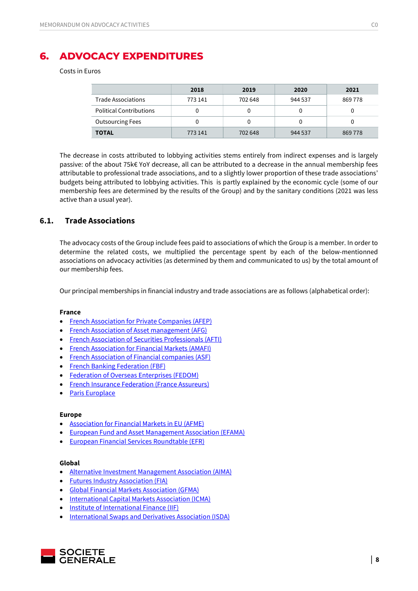### 6. ADVOCACY EXPENDITURES

Costs in Euros

|                                | 2018    | 2019    | 2020    | 2021    |
|--------------------------------|---------|---------|---------|---------|
| Trade Associations             | 773 141 | 702 648 | 944 537 | 869 778 |
| <b>Political Contributions</b> |         |         |         |         |
| <b>Outsourcing Fees</b>        |         |         |         | 0       |
| <b>TOTAL</b>                   | 773 141 | 702 648 | 944 537 | 869 778 |

The decrease in costs attributed to lobbying activities stems entirely from indirect expenses and is largely passive: of the about 75k€ YoY decrease, all can be attributed to a decrease in the annual membership fees attributable to professional trade associations, and to a slightly lower proportion of these trade associations' budgets being attributed to lobbying activities. This is partly explained by the economic cycle (some of our membership fees are determined by the results of the Group) and by the sanitary conditions (2021 was less active than a usual year).

### 6.1. Trade Associations

The advocacy costs of the Group include fees paid to associations of which the Group is a member. In order to determine the related costs, we multiplied the percentage spent by each of the below-mentionned associations on advocacy activities (as determined by them and communicated to us) by the total amount of our membership fees.

Our principal memberships in financial industry and trade associations are as follows (alphabetical order):

#### France

- French Association for Private Companies (AFEP)
- **•** French Association of Asset management (AFG)
- French Association of Securities Professionals (AFTI)
- **•** French Association for Financial Markets (AMAFI)
- French Association of Financial companies (ASF)
- French Banking Federation (FBF)
- Federation of Overseas Enterprises (FEDOM)
- French Insurance Federation (France Assureurs)
- Paris Europlace

### Europe

- Association for Financial Markets in EU (AFME)
- European Fund and Asset Management Association (EFAMA)
- European Financial Services Roundtable (EFR)

#### Global

- Alternative Investment Management Association (AIMA)
- Futures Industry Association (FIA)
- Global Financial Markets Association (GFMA)
- International Capital Markets Association (ICMA)
- Institute of International Finance (IIF)
- **•** International Swaps and Derivatives Association (ISDA)